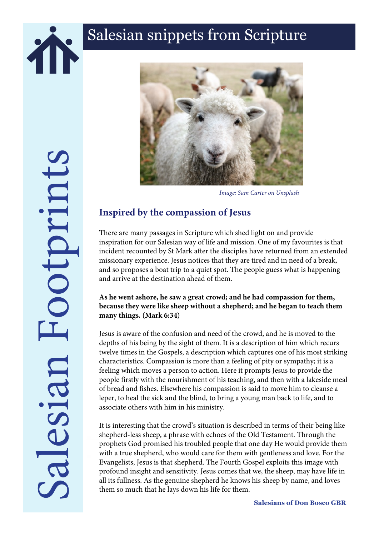



*Image: Sam Carter on Unsplash*

## **Inspired by the compassion of Jesus**

There are many passages in Scripture which shed light on and provide inspiration for our Salesian way of life and mission. One of my favourites is that incident recounted by St Mark after the disciples have returned from an extended missionary experience. Jesus notices that they are tired and in need of a break, and so proposes a boat trip to a quiet spot. The people guess what is happening and arrive at the destination ahead of them.

## **As he went ashore, he saw a great crowd; and he had compassion for them, because they were like sheep without a shepherd; and he began to teach them many things. (Mark 6:34)**

Jesus is aware of the confusion and need of the crowd, and he is moved to the depths of his being by the sight of them. It is a description of him which recurs twelve times in the Gospels, a description which captures one of his most striking characteristics. Compassion is more than a feeling of pity or sympathy; it is a feeling which moves a person to action. Here it prompts Jesus to provide the people firstly with the nourishment of his teaching, and then with a lakeside meal of bread and fishes. Elsewhere his compassion is said to move him to cleanse a leper, to heal the sick and the blind, to bring a young man back to life, and to associate others with him in his ministry.

It is interesting that the crowd's situation is described in terms of their being like shepherd-less sheep, a phrase with echoes of the Old Testament. Through the prophets God promised his troubled people that one day He would provide them with a true shepherd, who would care for them with gentleness and love. For the Evangelists, Jesus is that shepherd. The Fourth Gospel exploits this image with profound insight and sensitivity. Jesus comes that we, the sheep, may have life in all its fullness. As the genuine shepherd he knows his sheep by name, and loves them so much that he lays down his life for them.